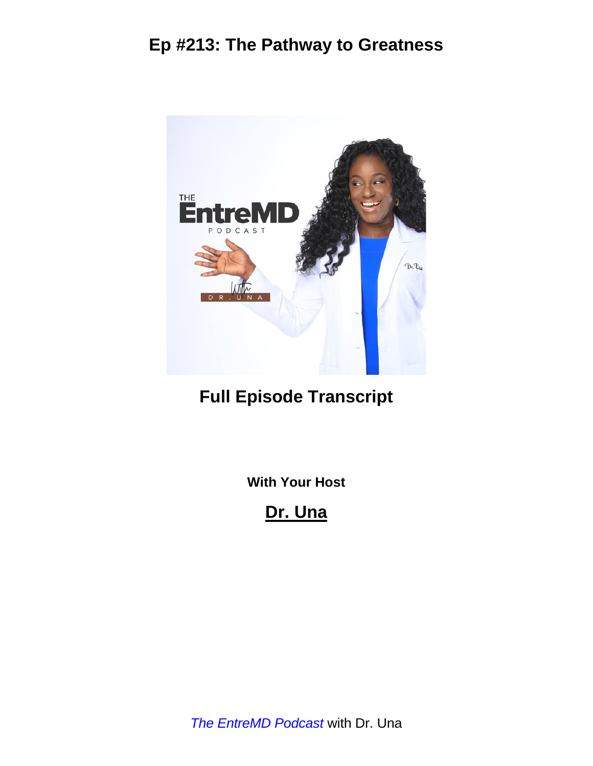

# **Full Episode Transcript**

**With Your Host**

**Dr. Una**

*The EntreMD Podcast* with Dr. Una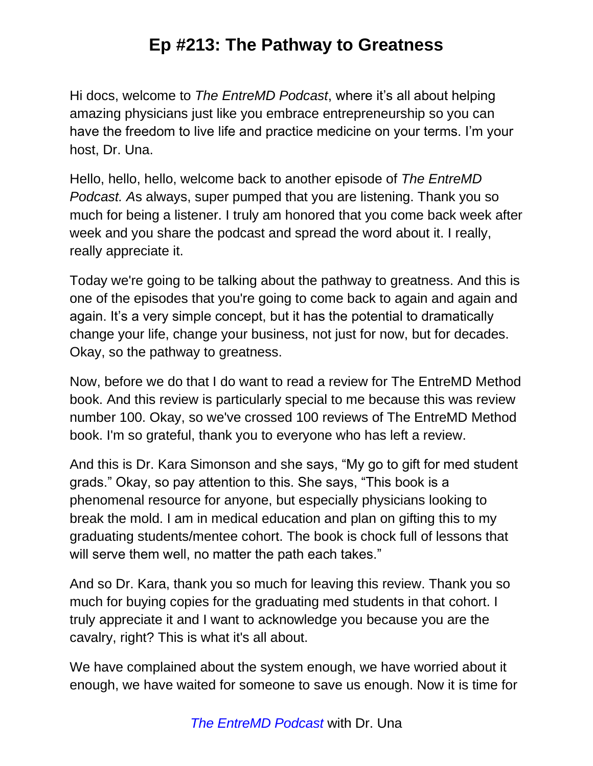Hi docs, welcome to *The EntreMD Podcast*, where it's all about helping amazing physicians just like you embrace entrepreneurship so you can have the freedom to live life and practice medicine on your terms. I'm your host, Dr. Una.

Hello, hello, hello, welcome back to another episode of *The EntreMD Podcast. A*s always, super pumped that you are listening. Thank you so much for being a listener. I truly am honored that you come back week after week and you share the podcast and spread the word about it. I really, really appreciate it.

Today we're going to be talking about the pathway to greatness. And this is one of the episodes that you're going to come back to again and again and again. It's a very simple concept, but it has the potential to dramatically change your life, change your business, not just for now, but for decades. Okay, so the pathway to greatness.

Now, before we do that I do want to read a review for The EntreMD Method book. And this review is particularly special to me because this was review number 100. Okay, so we've crossed 100 reviews of The EntreMD Method book. I'm so grateful, thank you to everyone who has left a review.

And this is Dr. Kara Simonson and she says, "My go to gift for med student grads." Okay, so pay attention to this. She says, "This book is a phenomenal resource for anyone, but especially physicians looking to break the mold. I am in medical education and plan on gifting this to my graduating students/mentee cohort. The book is chock full of lessons that will serve them well, no matter the path each takes."

And so Dr. Kara, thank you so much for leaving this review. Thank you so much for buying copies for the graduating med students in that cohort. I truly appreciate it and I want to acknowledge you because you are the cavalry, right? This is what it's all about.

We have complained about the system enough, we have worried about it enough, we have waited for someone to save us enough. Now it is time for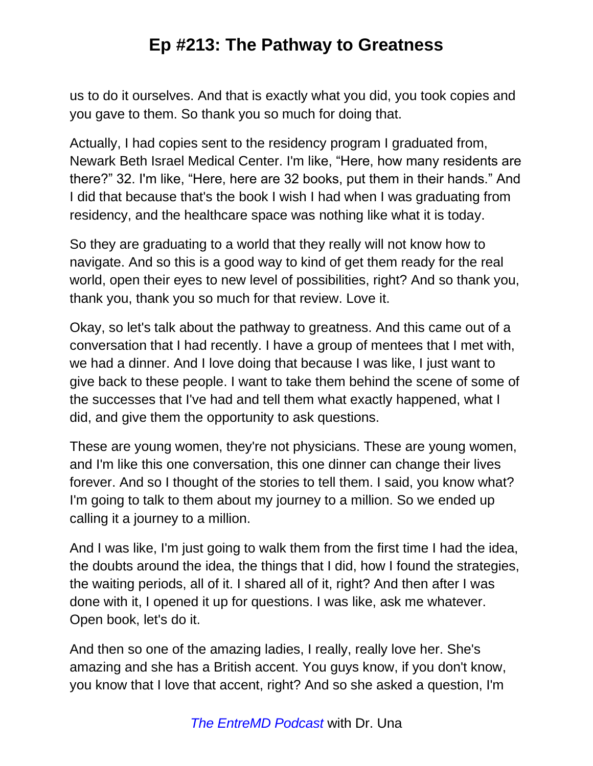us to do it ourselves. And that is exactly what you did, you took copies and you gave to them. So thank you so much for doing that.

Actually, I had copies sent to the residency program I graduated from, Newark Beth Israel Medical Center. I'm like, "Here, how many residents are there?" 32. I'm like, "Here, here are 32 books, put them in their hands." And I did that because that's the book I wish I had when I was graduating from residency, and the healthcare space was nothing like what it is today.

So they are graduating to a world that they really will not know how to navigate. And so this is a good way to kind of get them ready for the real world, open their eyes to new level of possibilities, right? And so thank you, thank you, thank you so much for that review. Love it.

Okay, so let's talk about the pathway to greatness. And this came out of a conversation that I had recently. I have a group of mentees that I met with, we had a dinner. And I love doing that because I was like, I just want to give back to these people. I want to take them behind the scene of some of the successes that I've had and tell them what exactly happened, what I did, and give them the opportunity to ask questions.

These are young women, they're not physicians. These are young women, and I'm like this one conversation, this one dinner can change their lives forever. And so I thought of the stories to tell them. I said, you know what? I'm going to talk to them about my journey to a million. So we ended up calling it a journey to a million.

And I was like, I'm just going to walk them from the first time I had the idea, the doubts around the idea, the things that I did, how I found the strategies, the waiting periods, all of it. I shared all of it, right? And then after I was done with it, I opened it up for questions. I was like, ask me whatever. Open book, let's do it.

And then so one of the amazing ladies, I really, really love her. She's amazing and she has a British accent. You guys know, if you don't know, you know that I love that accent, right? And so she asked a question, I'm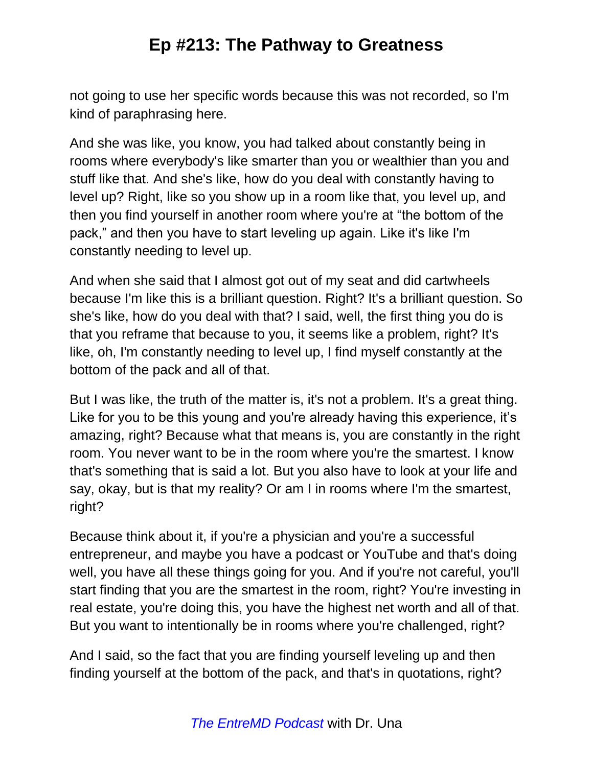not going to use her specific words because this was not recorded, so I'm kind of paraphrasing here.

And she was like, you know, you had talked about constantly being in rooms where everybody's like smarter than you or wealthier than you and stuff like that. And she's like, how do you deal with constantly having to level up? Right, like so you show up in a room like that, you level up, and then you find yourself in another room where you're at "the bottom of the pack," and then you have to start leveling up again. Like it's like I'm constantly needing to level up.

And when she said that I almost got out of my seat and did cartwheels because I'm like this is a brilliant question. Right? It's a brilliant question. So she's like, how do you deal with that? I said, well, the first thing you do is that you reframe that because to you, it seems like a problem, right? It's like, oh, I'm constantly needing to level up, I find myself constantly at the bottom of the pack and all of that.

But I was like, the truth of the matter is, it's not a problem. It's a great thing. Like for you to be this young and you're already having this experience, it's amazing, right? Because what that means is, you are constantly in the right room. You never want to be in the room where you're the smartest. I know that's something that is said a lot. But you also have to look at your life and say, okay, but is that my reality? Or am I in rooms where I'm the smartest, right?

Because think about it, if you're a physician and you're a successful entrepreneur, and maybe you have a podcast or YouTube and that's doing well, you have all these things going for you. And if you're not careful, you'll start finding that you are the smartest in the room, right? You're investing in real estate, you're doing this, you have the highest net worth and all of that. But you want to intentionally be in rooms where you're challenged, right?

And I said, so the fact that you are finding yourself leveling up and then finding yourself at the bottom of the pack, and that's in quotations, right?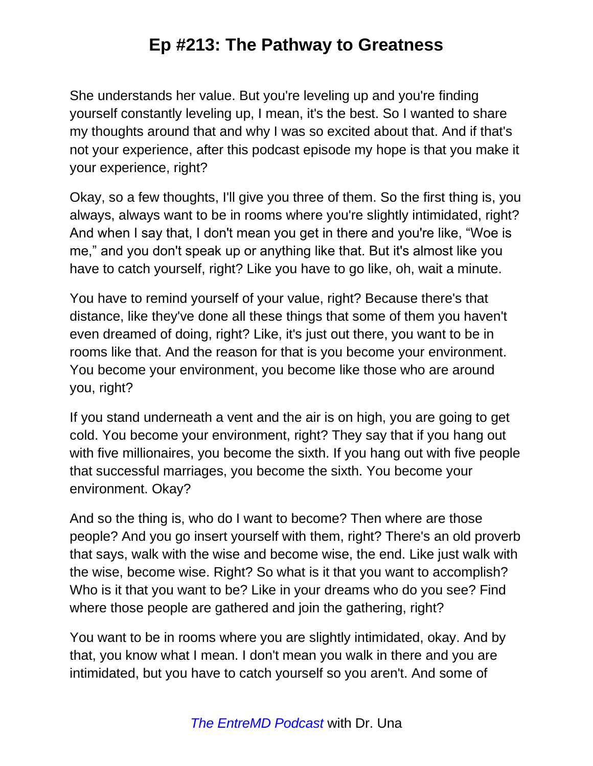She understands her value. But you're leveling up and you're finding yourself constantly leveling up, I mean, it's the best. So I wanted to share my thoughts around that and why I was so excited about that. And if that's not your experience, after this podcast episode my hope is that you make it your experience, right?

Okay, so a few thoughts, I'll give you three of them. So the first thing is, you always, always want to be in rooms where you're slightly intimidated, right? And when I say that, I don't mean you get in there and you're like, "Woe is me," and you don't speak up or anything like that. But it's almost like you have to catch yourself, right? Like you have to go like, oh, wait a minute.

You have to remind yourself of your value, right? Because there's that distance, like they've done all these things that some of them you haven't even dreamed of doing, right? Like, it's just out there, you want to be in rooms like that. And the reason for that is you become your environment. You become your environment, you become like those who are around you, right?

If you stand underneath a vent and the air is on high, you are going to get cold. You become your environment, right? They say that if you hang out with five millionaires, you become the sixth. If you hang out with five people that successful marriages, you become the sixth. You become your environment. Okay?

And so the thing is, who do I want to become? Then where are those people? And you go insert yourself with them, right? There's an old proverb that says, walk with the wise and become wise, the end. Like just walk with the wise, become wise. Right? So what is it that you want to accomplish? Who is it that you want to be? Like in your dreams who do you see? Find where those people are gathered and join the gathering, right?

You want to be in rooms where you are slightly intimidated, okay. And by that, you know what I mean. I don't mean you walk in there and you are intimidated, but you have to catch yourself so you aren't. And some of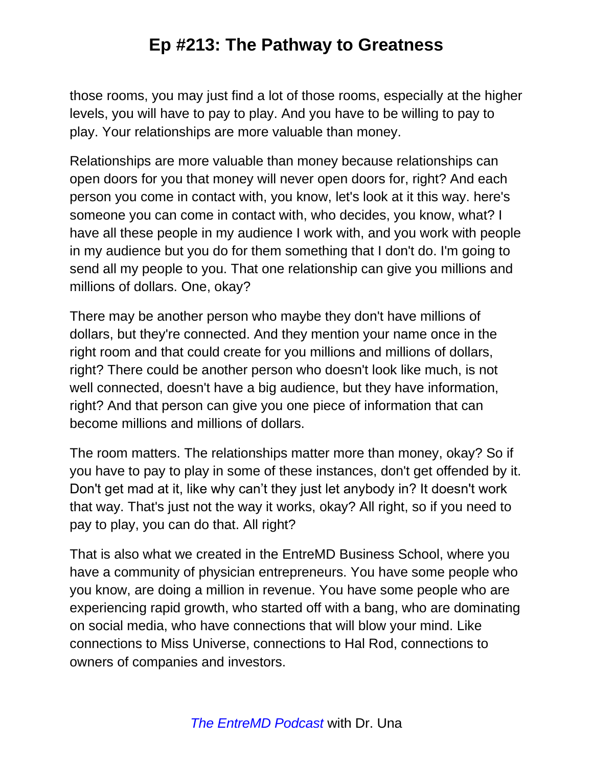those rooms, you may just find a lot of those rooms, especially at the higher levels, you will have to pay to play. And you have to be willing to pay to play. Your relationships are more valuable than money.

Relationships are more valuable than money because relationships can open doors for you that money will never open doors for, right? And each person you come in contact with, you know, let's look at it this way. here's someone you can come in contact with, who decides, you know, what? I have all these people in my audience I work with, and you work with people in my audience but you do for them something that I don't do. I'm going to send all my people to you. That one relationship can give you millions and millions of dollars. One, okay?

There may be another person who maybe they don't have millions of dollars, but they're connected. And they mention your name once in the right room and that could create for you millions and millions of dollars, right? There could be another person who doesn't look like much, is not well connected, doesn't have a big audience, but they have information, right? And that person can give you one piece of information that can become millions and millions of dollars.

The room matters. The relationships matter more than money, okay? So if you have to pay to play in some of these instances, don't get offended by it. Don't get mad at it, like why can't they just let anybody in? It doesn't work that way. That's just not the way it works, okay? All right, so if you need to pay to play, you can do that. All right?

That is also what we created in the EntreMD Business School, where you have a community of physician entrepreneurs. You have some people who you know, are doing a million in revenue. You have some people who are experiencing rapid growth, who started off with a bang, who are dominating on social media, who have connections that will blow your mind. Like connections to Miss Universe, connections to Hal Rod, connections to owners of companies and investors.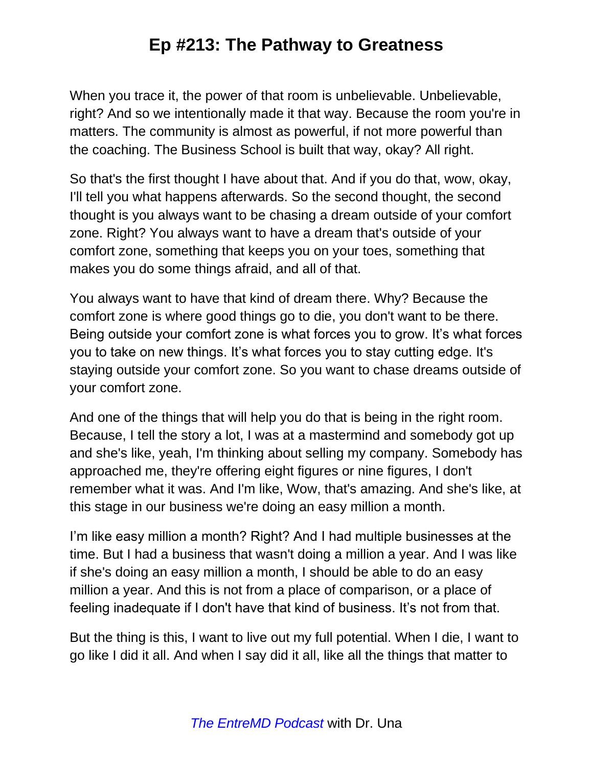When you trace it, the power of that room is unbelievable. Unbelievable, right? And so we intentionally made it that way. Because the room you're in matters. The community is almost as powerful, if not more powerful than the coaching. The Business School is built that way, okay? All right.

So that's the first thought I have about that. And if you do that, wow, okay, I'll tell you what happens afterwards. So the second thought, the second thought is you always want to be chasing a dream outside of your comfort zone. Right? You always want to have a dream that's outside of your comfort zone, something that keeps you on your toes, something that makes you do some things afraid, and all of that.

You always want to have that kind of dream there. Why? Because the comfort zone is where good things go to die, you don't want to be there. Being outside your comfort zone is what forces you to grow. It's what forces you to take on new things. It's what forces you to stay cutting edge. It's staying outside your comfort zone. So you want to chase dreams outside of your comfort zone.

And one of the things that will help you do that is being in the right room. Because, I tell the story a lot, I was at a mastermind and somebody got up and she's like, yeah, I'm thinking about selling my company. Somebody has approached me, they're offering eight figures or nine figures, I don't remember what it was. And I'm like, Wow, that's amazing. And she's like, at this stage in our business we're doing an easy million a month.

I'm like easy million a month? Right? And I had multiple businesses at the time. But I had a business that wasn't doing a million a year. And I was like if she's doing an easy million a month, I should be able to do an easy million a year. And this is not from a place of comparison, or a place of feeling inadequate if I don't have that kind of business. It's not from that.

But the thing is this, I want to live out my full potential. When I die, I want to go like I did it all. And when I say did it all, like all the things that matter to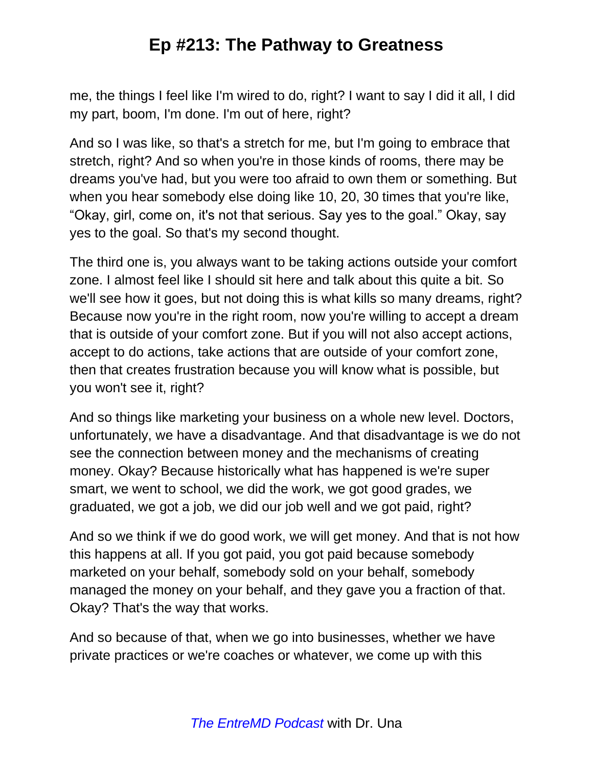me, the things I feel like I'm wired to do, right? I want to say I did it all, I did my part, boom, I'm done. I'm out of here, right?

And so I was like, so that's a stretch for me, but I'm going to embrace that stretch, right? And so when you're in those kinds of rooms, there may be dreams you've had, but you were too afraid to own them or something. But when you hear somebody else doing like 10, 20, 30 times that you're like, "Okay, girl, come on, it's not that serious. Say yes to the goal." Okay, say yes to the goal. So that's my second thought.

The third one is, you always want to be taking actions outside your comfort zone. I almost feel like I should sit here and talk about this quite a bit. So we'll see how it goes, but not doing this is what kills so many dreams, right? Because now you're in the right room, now you're willing to accept a dream that is outside of your comfort zone. But if you will not also accept actions, accept to do actions, take actions that are outside of your comfort zone, then that creates frustration because you will know what is possible, but you won't see it, right?

And so things like marketing your business on a whole new level. Doctors, unfortunately, we have a disadvantage. And that disadvantage is we do not see the connection between money and the mechanisms of creating money. Okay? Because historically what has happened is we're super smart, we went to school, we did the work, we got good grades, we graduated, we got a job, we did our job well and we got paid, right?

And so we think if we do good work, we will get money. And that is not how this happens at all. If you got paid, you got paid because somebody marketed on your behalf, somebody sold on your behalf, somebody managed the money on your behalf, and they gave you a fraction of that. Okay? That's the way that works.

And so because of that, when we go into businesses, whether we have private practices or we're coaches or whatever, we come up with this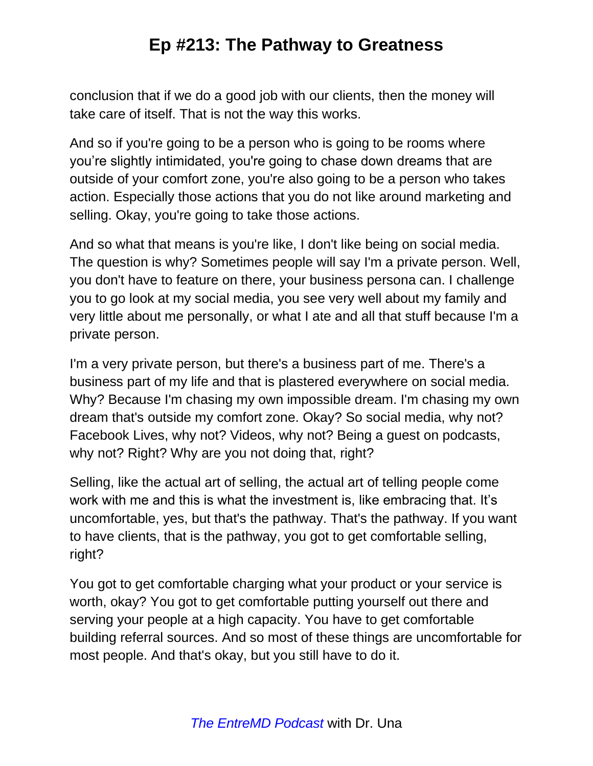conclusion that if we do a good job with our clients, then the money will take care of itself. That is not the way this works.

And so if you're going to be a person who is going to be rooms where you're slightly intimidated, you're going to chase down dreams that are outside of your comfort zone, you're also going to be a person who takes action. Especially those actions that you do not like around marketing and selling. Okay, you're going to take those actions.

And so what that means is you're like, I don't like being on social media. The question is why? Sometimes people will say I'm a private person. Well, you don't have to feature on there, your business persona can. I challenge you to go look at my social media, you see very well about my family and very little about me personally, or what I ate and all that stuff because I'm a private person.

I'm a very private person, but there's a business part of me. There's a business part of my life and that is plastered everywhere on social media. Why? Because I'm chasing my own impossible dream. I'm chasing my own dream that's outside my comfort zone. Okay? So social media, why not? Facebook Lives, why not? Videos, why not? Being a guest on podcasts, why not? Right? Why are you not doing that, right?

Selling, like the actual art of selling, the actual art of telling people come work with me and this is what the investment is, like embracing that. It's uncomfortable, yes, but that's the pathway. That's the pathway. If you want to have clients, that is the pathway, you got to get comfortable selling, right?

You got to get comfortable charging what your product or your service is worth, okay? You got to get comfortable putting yourself out there and serving your people at a high capacity. You have to get comfortable building referral sources. And so most of these things are uncomfortable for most people. And that's okay, but you still have to do it.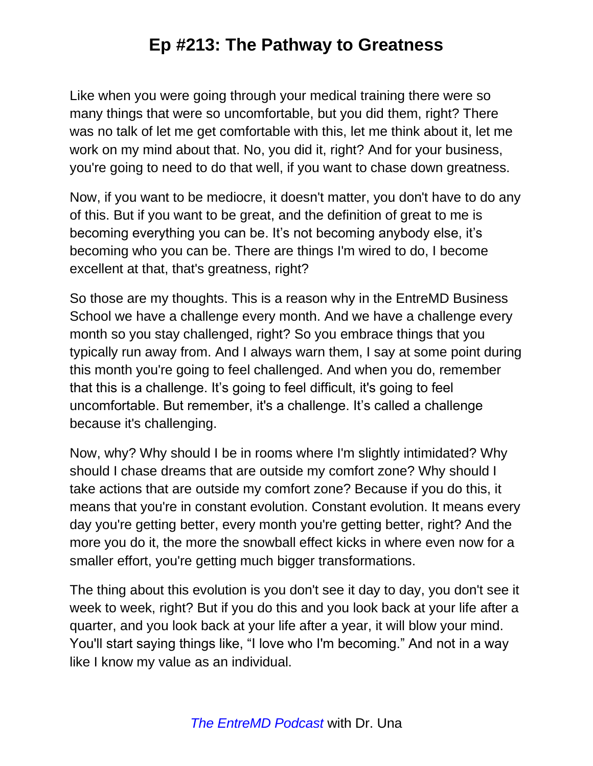Like when you were going through your medical training there were so many things that were so uncomfortable, but you did them, right? There was no talk of let me get comfortable with this, let me think about it, let me work on my mind about that. No, you did it, right? And for your business, you're going to need to do that well, if you want to chase down greatness.

Now, if you want to be mediocre, it doesn't matter, you don't have to do any of this. But if you want to be great, and the definition of great to me is becoming everything you can be. It's not becoming anybody else, it's becoming who you can be. There are things I'm wired to do, I become excellent at that, that's greatness, right?

So those are my thoughts. This is a reason why in the EntreMD Business School we have a challenge every month. And we have a challenge every month so you stay challenged, right? So you embrace things that you typically run away from. And I always warn them, I say at some point during this month you're going to feel challenged. And when you do, remember that this is a challenge. It's going to feel difficult, it's going to feel uncomfortable. But remember, it's a challenge. It's called a challenge because it's challenging.

Now, why? Why should I be in rooms where I'm slightly intimidated? Why should I chase dreams that are outside my comfort zone? Why should I take actions that are outside my comfort zone? Because if you do this, it means that you're in constant evolution. Constant evolution. It means every day you're getting better, every month you're getting better, right? And the more you do it, the more the snowball effect kicks in where even now for a smaller effort, you're getting much bigger transformations.

The thing about this evolution is you don't see it day to day, you don't see it week to week, right? But if you do this and you look back at your life after a quarter, and you look back at your life after a year, it will blow your mind. You'll start saying things like, "I love who I'm becoming." And not in a way like I know my value as an individual.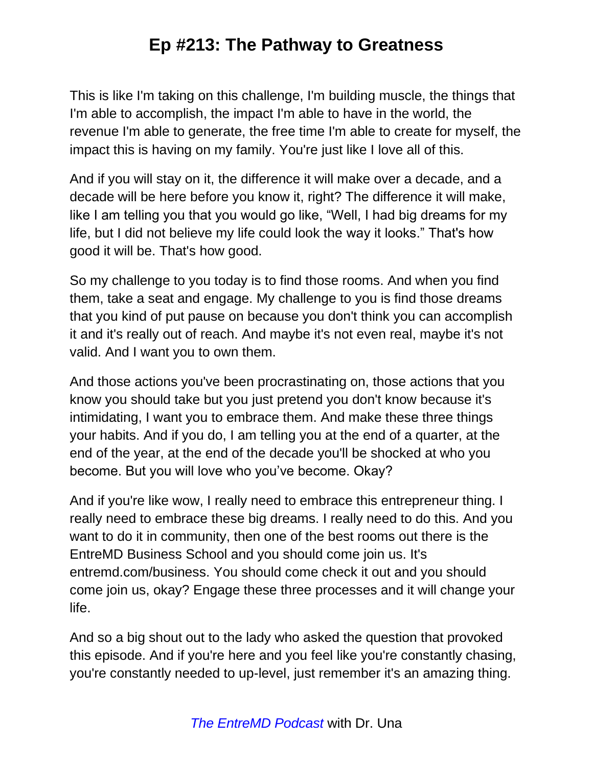This is like I'm taking on this challenge, I'm building muscle, the things that I'm able to accomplish, the impact I'm able to have in the world, the revenue I'm able to generate, the free time I'm able to create for myself, the impact this is having on my family. You're just like I love all of this.

And if you will stay on it, the difference it will make over a decade, and a decade will be here before you know it, right? The difference it will make, like I am telling you that you would go like, "Well, I had big dreams for my life, but I did not believe my life could look the way it looks." That's how good it will be. That's how good.

So my challenge to you today is to find those rooms. And when you find them, take a seat and engage. My challenge to you is find those dreams that you kind of put pause on because you don't think you can accomplish it and it's really out of reach. And maybe it's not even real, maybe it's not valid. And I want you to own them.

And those actions you've been procrastinating on, those actions that you know you should take but you just pretend you don't know because it's intimidating, I want you to embrace them. And make these three things your habits. And if you do, I am telling you at the end of a quarter, at the end of the year, at the end of the decade you'll be shocked at who you become. But you will love who you've become. Okay?

And if you're like wow, I really need to embrace this entrepreneur thing. I really need to embrace these big dreams. I really need to do this. And you want to do it in community, then one of the best rooms out there is the EntreMD Business School and you should come join us. It's entremd.com/business. You should come check it out and you should come join us, okay? Engage these three processes and it will change your life.

And so a big shout out to the lady who asked the question that provoked this episode. And if you're here and you feel like you're constantly chasing, you're constantly needed to up-level, just remember it's an amazing thing.